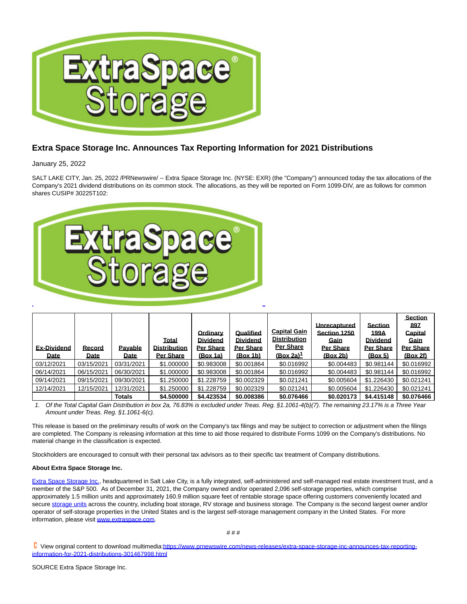

## **Extra Space Storage Inc. Announces Tax Reporting Information for 2021 Distributions**

January 25, 2022

SALT LAKE CITY, Jan. 25, 2022 /PRNewswire/ -- Extra Space Storage Inc. (NYSE: EXR) (the "Company") announced today the tax allocations of the Company's 2021 dividend distributions on its common stock. The allocations, as they will be reported on Form 1099-DIV, are as follows for common shares CUSIP# 30225T102:



| <b>Ex-Dividend</b><br>Date | Record<br>Date | <b>Pavable</b><br><b>Date</b> | Total<br><b>Distribution</b><br>Per Share | Ordinary<br><b>Dividend</b><br>Per Share<br>(Box 1a) | Qualified<br><b>Dividend</b><br><b>Per Share</b><br>(Box 1b) | <b>Capital Gain</b><br><b>Distribution</b><br><b>Per Share</b><br>$(Box 2a)^T$ | Unrecaptured<br>Section 1250<br>Gain<br>Per Share<br>(Box 2b) | <b>Section</b><br>199A<br><b>Dividend</b><br>Per Share<br>(Box 5) | <b>Section</b><br>897<br>Capital<br>Gain<br>Per Share<br><u>(Box 2f)</u> |
|----------------------------|----------------|-------------------------------|-------------------------------------------|------------------------------------------------------|--------------------------------------------------------------|--------------------------------------------------------------------------------|---------------------------------------------------------------|-------------------------------------------------------------------|--------------------------------------------------------------------------|
| 03/12/2021                 | 03/15/2021     | 03/31/2021                    | \$1.000000                                | \$0.983008                                           | \$0.001864                                                   | \$0.016992                                                                     | \$0.004483                                                    | \$0.981144                                                        | \$0.016992                                                               |
| 06/14/2021                 | 06/15/2021     | 06/30/2021                    | \$1.000000                                | \$0.983008                                           | \$0.001864                                                   | \$0.016992                                                                     | \$0.004483                                                    | \$0.981144                                                        | \$0.016992                                                               |
| 09/14/2021                 | 09/15/2021     | 09/30/2021                    | \$1,250000                                | \$1.228759                                           | \$0.002329                                                   | \$0.021241                                                                     | \$0.005604                                                    | \$1,226430                                                        | \$0.021241                                                               |
| 12/14/2021                 | 12/15/2021     | 12/31/2021                    | \$1,250000                                | \$1.228759                                           | \$0.002329                                                   | \$0.021241                                                                     | \$0.005604                                                    | \$1,226430                                                        | \$0.021241                                                               |
|                            |                | <b>Totals</b>                 | \$4,500000                                | \$4.423534                                           | \$0.008386                                                   | \$0.076466                                                                     | \$0.020173                                                    | \$4,415148                                                        | \$0.076466                                                               |

1. Of the Total Capital Gain Distribution in box 2a, 76.83% is excluded under Treas. Reg. §1.1061-4(b)(7). The remaining 23.17% is a Three Year Amount under Treas. Reg. §1.1061-6(c).

This release is based on the preliminary results of work on the Company's tax filings and may be subject to correction or adjustment when the filings are completed. The Company is releasing information at this time to aid those required to distribute Forms 1099 on the Company's distributions. No material change in the classification is expected.

Stockholders are encouraged to consult with their personal tax advisors as to their specific tax treatment of Company distributions.

## **About Extra Space Storage Inc.**

[Extra Space Storage Inc.,](https://c212.net/c/link/?t=0&l=en&o=3423664-1&h=2666708700&u=http%3A%2F%2Fwww.extraspace.com%2F&a=Extra+Space+Storage+Inc.) headquartered in Salt Lake City, is a fully integrated, self-administered and self-managed real estate investment trust, and a member of the S&P 500. As of December 31, 2021, the Company owned and/or operated 2,096 self-storage properties, which comprise approximately 1.5 million units and approximately 160.9 million square feet of rentable storage space offering customers conveniently located and secur[e storage units a](https://c212.net/c/link/?t=0&l=en&o=3423664-1&h=10179597&u=http%3A%2F%2Fwww.extraspace.com%2F&a=storage+units)cross the country, including boat storage, RV storage and business storage. The Company is the second largest owner and/or operator of self-storage properties in the United States and is the largest self-storage management company in the United States. For more information, please visi[t www.extraspace.com.](https://c212.net/c/link/?t=0&l=en&o=3423664-1&h=2843761381&u=http%3A%2F%2Fir.extraspace.com%2F&a=www.extraspace.com)

C View original content to download multimedia[:https://www.prnewswire.com/news-releases/extra-space-storage-inc-announces-tax-reporting](https://www.prnewswire.com/news-releases/extra-space-storage-inc-announces-tax-reporting-information-for-2021-distributions-301467998.html)information-for-2021-distributions-301467998.html

SOURCE Extra Space Storage Inc.